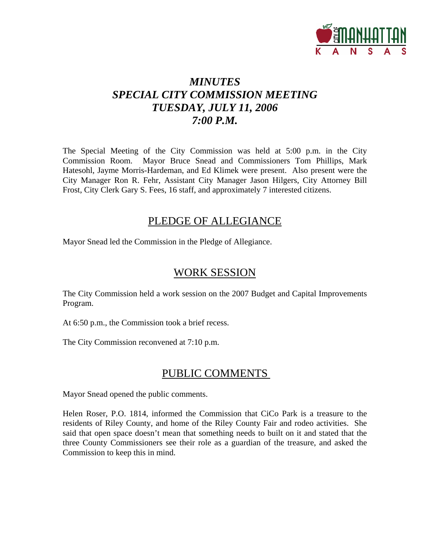

## *MINUTES SPECIAL CITY COMMISSION MEETING TUESDAY, JULY 11, 2006 7:00 P.M.*

The Special Meeting of the City Commission was held at 5:00 p.m. in the City Commission Room. Mayor Bruce Snead and Commissioners Tom Phillips, Mark Hatesohl, Jayme Morris-Hardeman, and Ed Klimek were present. Also present were the City Manager Ron R. Fehr, Assistant City Manager Jason Hilgers, City Attorney Bill Frost, City Clerk Gary S. Fees, 16 staff, and approximately 7 interested citizens.

## PLEDGE OF ALLEGIANCE

Mayor Snead led the Commission in the Pledge of Allegiance.

## WORK SESSION

The City Commission held a work session on the 2007 Budget and Capital Improvements Program.

At 6:50 p.m., the Commission took a brief recess.

The City Commission reconvened at 7:10 p.m.

## PUBLIC COMMENTS

Mayor Snead opened the public comments.

Helen Roser, P.O. 1814, informed the Commission that CiCo Park is a treasure to the residents of Riley County, and home of the Riley County Fair and rodeo activities. She said that open space doesn't mean that something needs to built on it and stated that the three County Commissioners see their role as a guardian of the treasure, and asked the Commission to keep this in mind.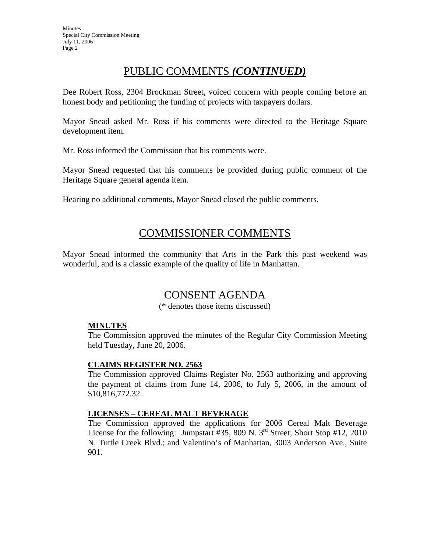## PUBLIC COMMENTS *(CONTINUED)*

Dee Robert Ross, 2304 Brockman Street, voiced concern with people coming before an honest body and petitioning the funding of projects with taxpayers dollars.

Mayor Snead asked Mr. Ross if his comments were directed to the Heritage Square development item.

Mr. Ross informed the Commission that his comments were.

Mayor Snead requested that his comments be provided during public comment of the Heritage Square general agenda item.

Hearing no additional comments, Mayor Snead closed the public comments.

## COMMISSIONER COMMENTS

Mayor Snead informed the community that Arts in the Park this past weekend was wonderful, and is a classic example of the quality of life in Manhattan.

## CONSENT AGENDA

(\* denotes those items discussed)

### **MINUTES**

The Commission approved the minutes of the Regular City Commission Meeting held Tuesday, June 20, 2006.

### **CLAIMS REGISTER NO. 2563**

The Commission approved Claims Register No. 2563 authorizing and approving the payment of claims from June 14, 2006, to July 5, 2006, in the amount of \$10,816,772.32.

### **LICENSES – CEREAL MALT BEVERAGE**

The Commission approved the applications for 2006 Cereal Malt Beverage License for the following: Jumpstart #35, 809 N.  $3^{rd}$  Street; Short Stop #12, 2010 N. Tuttle Creek Blvd.; and Valentino's of Manhattan, 3003 Anderson Ave., Suite 901.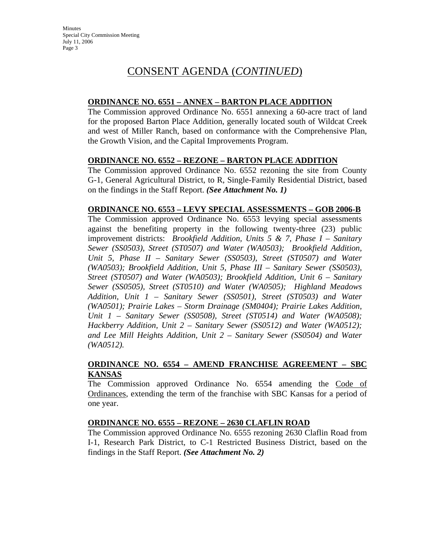## **ORDINANCE NO. 6551 – ANNEX – BARTON PLACE ADDITION**

The Commission approved Ordinance No. 6551 annexing a 60-acre tract of land for the proposed Barton Place Addition, generally located south of Wildcat Creek and west of Miller Ranch, based on conformance with the Comprehensive Plan, the Growth Vision, and the Capital Improvements Program.

## **ORDINANCE NO. 6552 – REZONE – BARTON PLACE ADDITION**

The Commission approved Ordinance No. 6552 rezoning the site from County G-1, General Agricultural District, to R, Single-Family Residential District, based on the findings in the Staff Report. *(See Attachment No. 1)* 

### **ORDINANCE NO. 6553 – LEVY SPECIAL ASSESSMENTS – GOB 2006-B**

The Commission approved Ordinance No. 6553 levying special assessments against the benefiting property in the following twenty-three (23) public improvement districts: *Brookfield Addition, Units 5 & 7, Phase I – Sanitary Sewer (SS0503), Street (ST0507) and Water (WA0503); Brookfield Addition, Unit 5, Phase II – Sanitary Sewer (SS0503), Street (ST0507) and Water (WA0503); Brookfield Addition, Unit 5, Phase III – Sanitary Sewer (SS0503), Street (ST0507) and Water (WA0503); Brookfield Addition, Unit 6 – Sanitary Sewer (SS0505), Street (ST0510) and Water (WA0505); Highland Meadows Addition, Unit 1 – Sanitary Sewer (SS0501), Street (ST0503) and Water (WA0501); Prairie Lakes – Storm Drainage (SM0404); Prairie Lakes Addition, Unit 1 – Sanitary Sewer (SS0508), Street (ST0514) and Water (WA0508); Hackberry Addition, Unit 2 – Sanitary Sewer (SS0512) and Water (WA0512); and Lee Mill Heights Addition, Unit 2 – Sanitary Sewer (SS0504) and Water (WA0512).* 

## **ORDINANCE NO. 6554 – AMEND FRANCHISE AGREEMENT – SBC KANSAS**

The Commission approved Ordinance No. 6554 amending the Code of Ordinances, extending the term of the franchise with SBC Kansas for a period of one year.

### **ORDINANCE NO. 6555 – REZONE – 2630 CLAFLIN ROAD**

The Commission approved Ordinance No. 6555 rezoning 2630 Claflin Road from I-1, Research Park District, to C-1 Restricted Business District, based on the findings in the Staff Report. *(See Attachment No. 2)*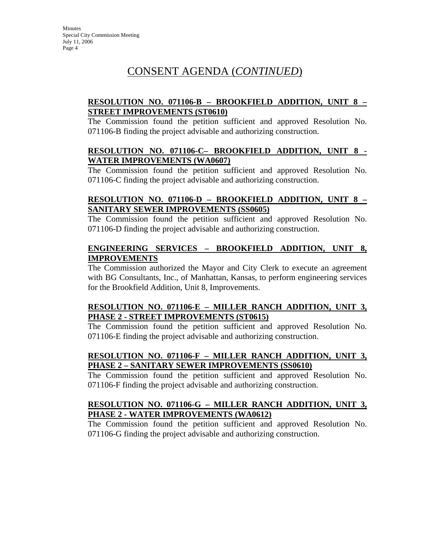## **RESOLUTION NO. 071106-B – BROOKFIELD ADDITION, UNIT 8 – STREET IMPROVEMENTS (ST0610)**

The Commission found the petition sufficient and approved Resolution No. 071106-B finding the project advisable and authorizing construction.

#### **RESOLUTION NO. 071106-C– BROOKFIELD ADDITION, UNIT 8 - WATER IMPROVEMENTS (WA0607)**

The Commission found the petition sufficient and approved Resolution No. 071106-C finding the project advisable and authorizing construction.

## **RESOLUTION NO. 071106-D – BROOKFIELD ADDITION, UNIT 8 – SANITARY SEWER IMPROVEMENTS (SS0605)**

The Commission found the petition sufficient and approved Resolution No. 071106-D finding the project advisable and authorizing construction.

#### **ENGINEERING SERVICES – BROOKFIELD ADDITION, UNIT 8, IMPROVEMENTS**

The Commission authorized the Mayor and City Clerk to execute an agreement with BG Consultants, Inc., of Manhattan, Kansas, to perform engineering services for the Brookfield Addition, Unit 8, Improvements.

### **RESOLUTION NO. 071106-E – MILLER RANCH ADDITION, UNIT 3, PHASE 2 - STREET IMPROVEMENTS (ST0615)**

The Commission found the petition sufficient and approved Resolution No. 071106-E finding the project advisable and authorizing construction.

## **RESOLUTION NO. 071106-F – MILLER RANCH ADDITION, UNIT 3, PHASE 2 – SANITARY SEWER IMPROVEMENTS (SS0610)**

The Commission found the petition sufficient and approved Resolution No. 071106-F finding the project advisable and authorizing construction.

### **RESOLUTION NO. 071106-G – MILLER RANCH ADDITION, UNIT 3, PHASE 2 - WATER IMPROVEMENTS (WA0612)**

The Commission found the petition sufficient and approved Resolution No. 071106-G finding the project advisable and authorizing construction.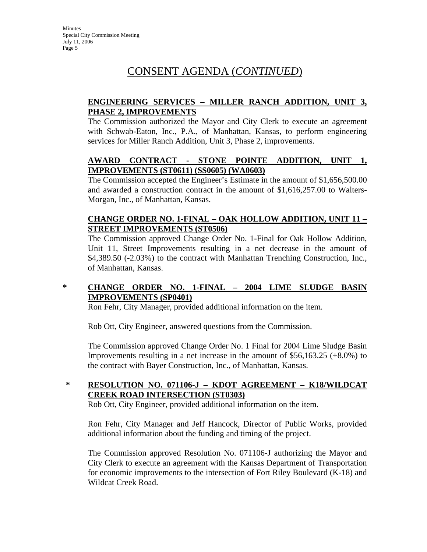## **ENGINEERING SERVICES – MILLER RANCH ADDITION, UNIT 3, PHASE 2, IMPROVEMENTS**

The Commission authorized the Mayor and City Clerk to execute an agreement with Schwab-Eaton, Inc., P.A., of Manhattan, Kansas, to perform engineering services for Miller Ranch Addition, Unit 3, Phase 2, improvements.

## **AWARD CONTRACT - STONE POINTE ADDITION, UNIT 1, IMPROVEMENTS (ST0611) (SS0605) (WA0603)**

The Commission accepted the Engineer's Estimate in the amount of \$1,656,500.00 and awarded a construction contract in the amount of \$1,616,257.00 to Walters-Morgan, Inc., of Manhattan, Kansas.

## **CHANGE ORDER NO. 1-FINAL – OAK HOLLOW ADDITION, UNIT 11 – STREET IMPROVEMENTS (ST0506)**

The Commission approved Change Order No. 1-Final for Oak Hollow Addition, Unit 11, Street Improvements resulting in a net decrease in the amount of \$4,389.50 (-2.03%) to the contract with Manhattan Trenching Construction, Inc., of Manhattan, Kansas.

### **\* CHANGE ORDER NO. 1-FINAL – 2004 LIME SLUDGE BASIN IMPROVEMENTS (SP0401)**

Ron Fehr, City Manager, provided additional information on the item.

Rob Ott, City Engineer, answered questions from the Commission.

The Commission approved Change Order No. 1 Final for 2004 Lime Sludge Basin Improvements resulting in a net increase in the amount of \$56,163.25 (+8.0%) to the contract with Bayer Construction, Inc., of Manhattan, Kansas.

## **\* RESOLUTION NO. 071106-J – KDOT AGREEMENT – K18/WILDCAT CREEK ROAD INTERSECTION (ST0303)**

Rob Ott, City Engineer, provided additional information on the item.

Ron Fehr, City Manager and Jeff Hancock, Director of Public Works, provided additional information about the funding and timing of the project.

The Commission approved Resolution No. 071106-J authorizing the Mayor and City Clerk to execute an agreement with the Kansas Department of Transportation for economic improvements to the intersection of Fort Riley Boulevard (K-18) and Wildcat Creek Road.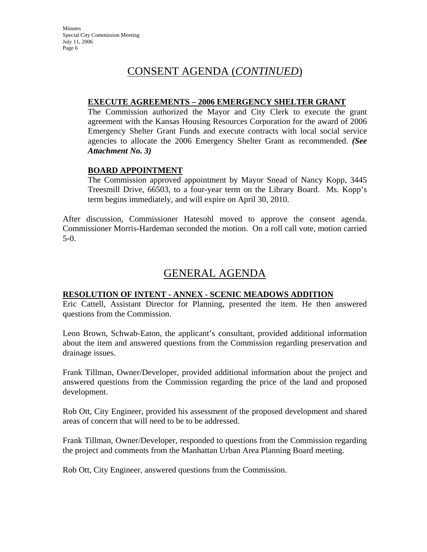#### **EXECUTE AGREEMENTS – 2006 EMERGENCY SHELTER GRANT**

The Commission authorized the Mayor and City Clerk to execute the grant agreement with the Kansas Housing Resources Corporation for the award of 2006 Emergency Shelter Grant Funds and execute contracts with local social service agencies to allocate the 2006 Emergency Shelter Grant as recommended. *(See Attachment No. 3)*

### **BOARD APPOINTMENT**

The Commission approved appointment by Mayor Snead of Nancy Kopp, 3445 Treesmill Drive, 66503, to a four-year term on the Library Board. Ms. Kopp's term begins immediately, and will expire on April 30, 2010.

After discussion, Commissioner Hatesohl moved to approve the consent agenda. Commissioner Morris-Hardeman seconded the motion. On a roll call vote, motion carried 5-0.

## GENERAL AGENDA

#### **RESOLUTION OF INTENT - ANNEX - SCENIC MEADOWS ADDITION**

Eric Cattell, Assistant Director for Planning, presented the item. He then answered questions from the Commission.

Leon Brown, Schwab-Eaton, the applicant's consultant, provided additional information about the item and answered questions from the Commission regarding preservation and drainage issues.

Frank Tillman, Owner/Developer, provided additional information about the project and answered questions from the Commission regarding the price of the land and proposed development.

Rob Ott, City Engineer, provided his assessment of the proposed development and shared areas of concern that will need to be to be addressed.

Frank Tillman, Owner/Developer, responded to questions from the Commission regarding the project and comments from the Manhattan Urban Area Planning Board meeting.

Rob Ott, City Engineer, answered questions from the Commission.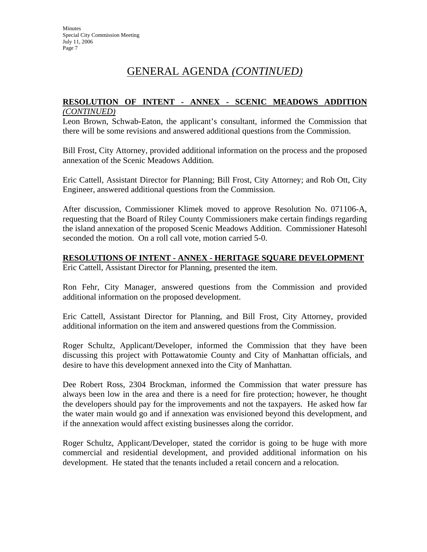## GENERAL AGENDA *(CONTINUED)*

#### **RESOLUTION OF INTENT - ANNEX - SCENIC MEADOWS ADDITION** *(CONTINUED)*

Leon Brown, Schwab-Eaton, the applicant's consultant, informed the Commission that there will be some revisions and answered additional questions from the Commission.

Bill Frost, City Attorney, provided additional information on the process and the proposed annexation of the Scenic Meadows Addition.

Eric Cattell, Assistant Director for Planning; Bill Frost, City Attorney; and Rob Ott, City Engineer, answered additional questions from the Commission.

After discussion, Commissioner Klimek moved to approve Resolution No. 071106-A, requesting that the Board of Riley County Commissioners make certain findings regarding the island annexation of the proposed Scenic Meadows Addition. Commissioner Hatesohl seconded the motion. On a roll call vote, motion carried 5-0.

#### **RESOLUTIONS OF INTENT - ANNEX - HERITAGE SQUARE DEVELOPMENT** Eric Cattell, Assistant Director for Planning, presented the item.

Ron Fehr, City Manager, answered questions from the Commission and provided additional information on the proposed development.

Eric Cattell, Assistant Director for Planning, and Bill Frost, City Attorney, provided additional information on the item and answered questions from the Commission.

Roger Schultz, Applicant/Developer, informed the Commission that they have been discussing this project with Pottawatomie County and City of Manhattan officials, and desire to have this development annexed into the City of Manhattan.

Dee Robert Ross, 2304 Brockman, informed the Commission that water pressure has always been low in the area and there is a need for fire protection; however, he thought the developers should pay for the improvements and not the taxpayers. He asked how far the water main would go and if annexation was envisioned beyond this development, and if the annexation would affect existing businesses along the corridor.

Roger Schultz, Applicant/Developer, stated the corridor is going to be huge with more commercial and residential development, and provided additional information on his development. He stated that the tenants included a retail concern and a relocation.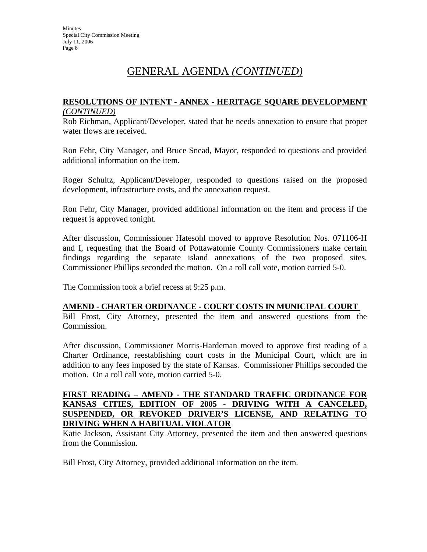## GENERAL AGENDA *(CONTINUED)*

#### **RESOLUTIONS OF INTENT - ANNEX - HERITAGE SQUARE DEVELOPMENT** *(CONTINUED)*

Rob Eichman, Applicant/Developer, stated that he needs annexation to ensure that proper water flows are received.

Ron Fehr, City Manager, and Bruce Snead, Mayor, responded to questions and provided additional information on the item.

Roger Schultz, Applicant/Developer, responded to questions raised on the proposed development, infrastructure costs, and the annexation request.

Ron Fehr, City Manager, provided additional information on the item and process if the request is approved tonight.

After discussion, Commissioner Hatesohl moved to approve Resolution Nos. 071106-H and I, requesting that the Board of Pottawatomie County Commissioners make certain findings regarding the separate island annexations of the two proposed sites. Commissioner Phillips seconded the motion. On a roll call vote, motion carried 5-0.

The Commission took a brief recess at 9:25 p.m.

#### **AMEND - CHARTER ORDINANCE - COURT COSTS IN MUNICIPAL COURT**

Bill Frost, City Attorney, presented the item and answered questions from the Commission.

After discussion, Commissioner Morris-Hardeman moved to approve first reading of a Charter Ordinance, reestablishing court costs in the Municipal Court, which are in addition to any fees imposed by the state of Kansas. Commissioner Phillips seconded the motion. On a roll call vote, motion carried 5-0.

#### **FIRST READING – AMEND - THE STANDARD TRAFFIC ORDINANCE FOR KANSAS CITIES, EDITION OF 2005 - DRIVING WITH A CANCELED, SUSPENDED, OR REVOKED DRIVER'S LICENSE, AND RELATING TO DRIVING WHEN A HABITUAL VIOLATOR**

Katie Jackson, Assistant City Attorney, presented the item and then answered questions from the Commission.

Bill Frost, City Attorney, provided additional information on the item.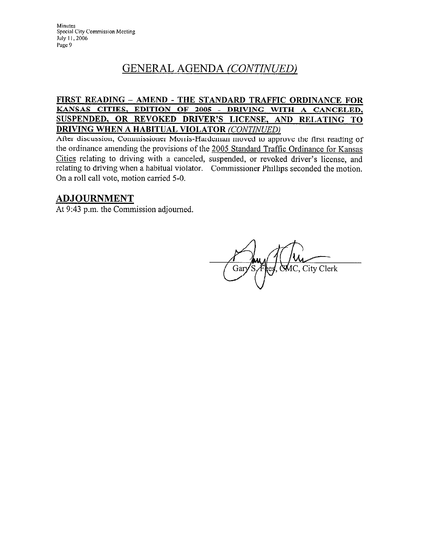# GENERAL AGENDA (CONTINUED)

#### FIRST READING - AMEND - THE STANDARD TRAFFIC ORDINANCE FOR KANSAS CITIES, EDITION OF 2005 - DRIVING WITH A CANCELED, SUSPENDED, OR REVOKED DRIVER'S LICENSE, AND RELATING TO **DRIVING WHEN A HABITUAL VIOLATOR (CONTINUED)**

After discussion, Commissioner Morris-Hardeman moved to approve the first reading of the ordinance amending the provisions of the 2005 Standard Traffic Ordinance for Kansas Cities relating to driving with a canceled, suspended, or revoked driver's license, and relating to driving when a habitual violator. Commissioner Phillips seconded the motion. On a roll call vote, motion carried 5-0.

## **ADJOURNMENT**

At 9:43 p.m. the Commission adjourned.

AC, City Clerk Gar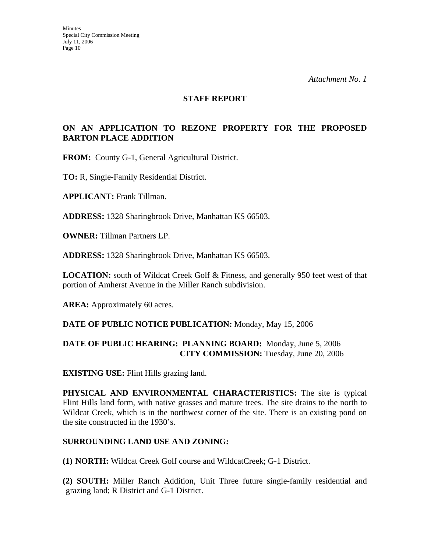#### **STAFF REPORT**

## **ON AN APPLICATION TO REZONE PROPERTY FOR THE PROPOSED BARTON PLACE ADDITION**

**FROM:** County G-1, General Agricultural District.

**TO:** R, Single-Family Residential District.

**APPLICANT:** Frank Tillman.

**ADDRESS:** 1328 Sharingbrook Drive, Manhattan KS 66503.

**OWNER:** Tillman Partners LP.

**ADDRESS:** 1328 Sharingbrook Drive, Manhattan KS 66503.

**LOCATION:** south of Wildcat Creek Golf & Fitness, and generally 950 feet west of that portion of Amherst Avenue in the Miller Ranch subdivision.

AREA: Approximately 60 acres.

#### **DATE OF PUBLIC NOTICE PUBLICATION:** Monday, May 15, 2006

#### **DATE OF PUBLIC HEARING: PLANNING BOARD:** Monday, June 5, 2006 **CITY COMMISSION:** Tuesday, June 20, 2006

**EXISTING USE:** Flint Hills grazing land.

**PHYSICAL AND ENVIRONMENTAL CHARACTERISTICS:** The site is typical Flint Hills land form, with native grasses and mature trees. The site drains to the north to Wildcat Creek, which is in the northwest corner of the site. There is an existing pond on the site constructed in the 1930's.

#### **SURROUNDING LAND USE AND ZONING:**

**(1) NORTH:** Wildcat Creek Golf course and WildcatCreek; G-1 District.

**(2) SOUTH:** Miller Ranch Addition, Unit Three future single-family residential and grazing land; R District and G-1 District.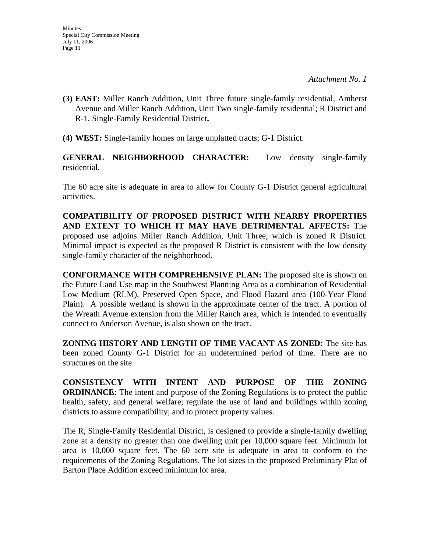- **(3) EAST:** Miller Ranch Addition, Unit Three future single-family residential, Amherst Avenue and Miller Ranch Addition, Unit Two single-family residential; R District and R-1, Single-Family Residential District**.**
- **(4) WEST:** Single-family homes on large unplatted tracts; G-1 District.

**GENERAL NEIGHBORHOOD CHARACTER:** Low density single-family residential.

The 60 acre site is adequate in area to allow for County G-1 District general agricultural activities.

**COMPATIBILITY OF PROPOSED DISTRICT WITH NEARBY PROPERTIES AND EXTENT TO WHICH IT MAY HAVE DETRIMENTAL AFFECTS:** The proposed use adjoins Miller Ranch Addition, Unit Three, which is zoned R District. Minimal impact is expected as the proposed R District is consistent with the low density single-family character of the neighborhood.

**CONFORMANCE WITH COMPREHENSIVE PLAN:** The proposed site is shown on the Future Land Use map in the Southwest Planning Area as a combination of Residential Low Medium (RLM), Preserved Open Space, and Flood Hazard area (100-Year Flood Plain). A possible wetland is shown in the approximate center of the tract. A portion of the Wreath Avenue extension from the Miller Ranch area, which is intended to eventually connect to Anderson Avenue, is also shown on the tract.

**ZONING HISTORY AND LENGTH OF TIME VACANT AS ZONED:** The site has been zoned County G-1 District for an undetermined period of time. There are no structures on the site.

**CONSISTENCY WITH INTENT AND PURPOSE OF THE ZONING ORDINANCE:** The intent and purpose of the Zoning Regulations is to protect the public health, safety, and general welfare; regulate the use of land and buildings within zoning districts to assure compatibility; and to protect property values.

The R, Single-Family Residential District, is designed to provide a single-family dwelling zone at a density no greater than one dwelling unit per 10,000 square feet. Minimum lot area is 10,000 square feet. The 60 acre site is adequate in area to conform to the requirements of the Zoning Regulations. The lot sizes in the proposed Preliminary Plat of Barton Place Addition exceed minimum lot area.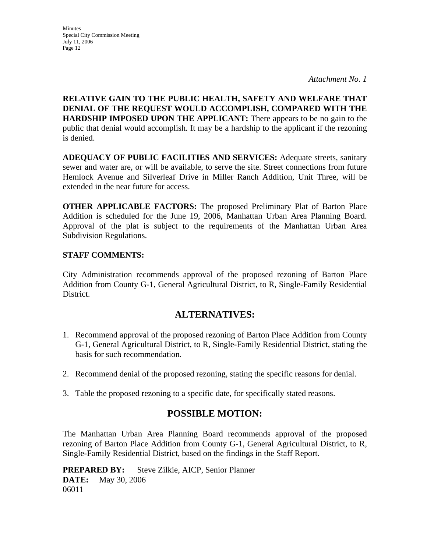**Minutes** Special City Commission Meeting July 11, 2006 Page 12

*Attachment No. 1* 

**RELATIVE GAIN TO THE PUBLIC HEALTH, SAFETY AND WELFARE THAT DENIAL OF THE REQUEST WOULD ACCOMPLISH, COMPARED WITH THE HARDSHIP IMPOSED UPON THE APPLICANT:** There appears to be no gain to the public that denial would accomplish. It may be a hardship to the applicant if the rezoning is denied.

**ADEQUACY OF PUBLIC FACILITIES AND SERVICES:** Adequate streets, sanitary sewer and water are, or will be available, to serve the site. Street connections from future Hemlock Avenue and Silverleaf Drive in Miller Ranch Addition, Unit Three, will be extended in the near future for access.

**OTHER APPLICABLE FACTORS:** The proposed Preliminary Plat of Barton Place Addition is scheduled for the June 19, 2006, Manhattan Urban Area Planning Board. Approval of the plat is subject to the requirements of the Manhattan Urban Area Subdivision Regulations.

#### **STAFF COMMENTS:**

City Administration recommends approval of the proposed rezoning of Barton Place Addition from County G-1, General Agricultural District, to R, Single-Family Residential District.

## **ALTERNATIVES:**

- 1. Recommend approval of the proposed rezoning of Barton Place Addition from County G-1, General Agricultural District, to R, Single-Family Residential District, stating the basis for such recommendation.
- 2. Recommend denial of the proposed rezoning, stating the specific reasons for denial.
- 3. Table the proposed rezoning to a specific date, for specifically stated reasons.

## **POSSIBLE MOTION:**

The Manhattan Urban Area Planning Board recommends approval of the proposed rezoning of Barton Place Addition from County G-1, General Agricultural District, to R, Single-Family Residential District, based on the findings in the Staff Report.

**PREPARED BY:** Steve Zilkie, AICP, Senior Planner **DATE:** May 30, 2006 06011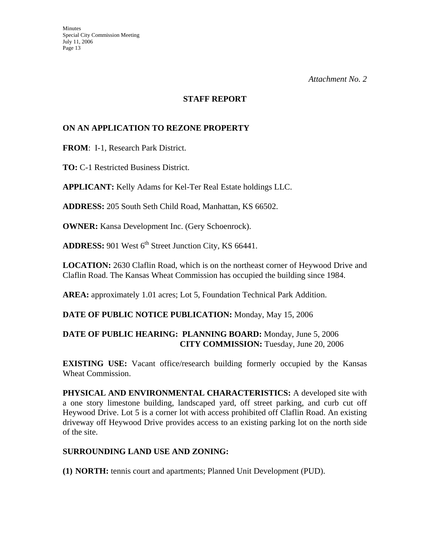#### **STAFF REPORT**

## **ON AN APPLICATION TO REZONE PROPERTY**

**FROM**: I-1, Research Park District.

**TO:** C-1 Restricted Business District.

**APPLICANT:** Kelly Adams for Kel-Ter Real Estate holdings LLC.

**ADDRESS:** 205 South Seth Child Road, Manhattan, KS 66502.

**OWNER:** Kansa Development Inc. (Gery Schoenrock).

**ADDRESS:** 901 West 6<sup>th</sup> Street Junction City, KS 66441.

**LOCATION:** 2630 Claflin Road, which is on the northeast corner of Heywood Drive and Claflin Road. The Kansas Wheat Commission has occupied the building since 1984.

**AREA:** approximately 1.01 acres; Lot 5, Foundation Technical Park Addition.

### **DATE OF PUBLIC NOTICE PUBLICATION:** Monday, May 15, 2006

## **DATE OF PUBLIC HEARING: PLANNING BOARD:** Monday, June 5, 2006 **CITY COMMISSION:** Tuesday, June 20, 2006

**EXISTING USE:** Vacant office/research building formerly occupied by the Kansas Wheat Commission.

**PHYSICAL AND ENVIRONMENTAL CHARACTERISTICS:** A developed site with a one story limestone building, landscaped yard, off street parking, and curb cut off Heywood Drive. Lot 5 is a corner lot with access prohibited off Claflin Road. An existing driveway off Heywood Drive provides access to an existing parking lot on the north side of the site.

### **SURROUNDING LAND USE AND ZONING:**

**(1) NORTH:** tennis court and apartments; Planned Unit Development (PUD).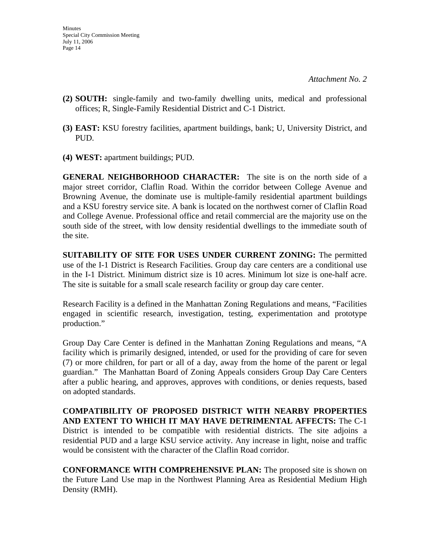- **(2) SOUTH:** single-family and two-family dwelling units, medical and professional offices; R, Single-Family Residential District and C-1 District.
- **(3) EAST:** KSU forestry facilities, apartment buildings, bank; U, University District, and PUD.
- **(4) WEST:** apartment buildings; PUD.

**GENERAL NEIGHBORHOOD CHARACTER:** The site is on the north side of a major street corridor, Claflin Road. Within the corridor between College Avenue and Browning Avenue, the dominate use is multiple-family residential apartment buildings and a KSU forestry service site. A bank is located on the northwest corner of Claflin Road and College Avenue. Professional office and retail commercial are the majority use on the south side of the street, with low density residential dwellings to the immediate south of the site.

**SUITABILITY OF SITE FOR USES UNDER CURRENT ZONING:** The permitted use of the I-1 District is Research Facilities. Group day care centers are a conditional use in the I-1 District. Minimum district size is 10 acres. Minimum lot size is one-half acre. The site is suitable for a small scale research facility or group day care center.

Research Facility is a defined in the Manhattan Zoning Regulations and means, "Facilities engaged in scientific research, investigation, testing, experimentation and prototype production."

Group Day Care Center is defined in the Manhattan Zoning Regulations and means, "A facility which is primarily designed, intended, or used for the providing of care for seven (7) or more children, for part or all of a day, away from the home of the parent or legal guardian." The Manhattan Board of Zoning Appeals considers Group Day Care Centers after a public hearing, and approves, approves with conditions, or denies requests, based on adopted standards.

**COMPATIBILITY OF PROPOSED DISTRICT WITH NEARBY PROPERTIES AND EXTENT TO WHICH IT MAY HAVE DETRIMENTAL AFFECTS:** The C-1 District is intended to be compatible with residential districts. The site adjoins a residential PUD and a large KSU service activity. Any increase in light, noise and traffic would be consistent with the character of the Claflin Road corridor.

**CONFORMANCE WITH COMPREHENSIVE PLAN:** The proposed site is shown on the Future Land Use map in the Northwest Planning Area as Residential Medium High Density (RMH).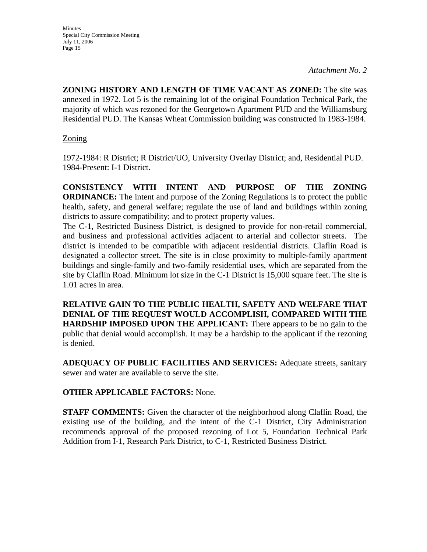**Minutes** Special City Commission Meeting July 11, 2006 Page 15

*Attachment No. 2* 

**ZONING HISTORY AND LENGTH OF TIME VACANT AS ZONED:** The site was annexed in 1972. Lot 5 is the remaining lot of the original Foundation Technical Park, the majority of which was rezoned for the Georgetown Apartment PUD and the Williamsburg Residential PUD. The Kansas Wheat Commission building was constructed in 1983-1984.

## Zoning

1972-1984: R District; R District/UO, University Overlay District; and, Residential PUD. 1984-Present: I-1 District.

**CONSISTENCY WITH INTENT AND PURPOSE OF THE ZONING ORDINANCE:** The intent and purpose of the Zoning Regulations is to protect the public health, safety, and general welfare; regulate the use of land and buildings within zoning districts to assure compatibility; and to protect property values.

The C-1, Restricted Business District, is designed to provide for non-retail commercial, and business and professional activities adjacent to arterial and collector streets. The district is intended to be compatible with adjacent residential districts. Claflin Road is designated a collector street. The site is in close proximity to multiple-family apartment buildings and single-family and two-family residential uses, which are separated from the site by Claflin Road. Minimum lot size in the C-1 District is 15,000 square feet. The site is 1.01 acres in area.

**RELATIVE GAIN TO THE PUBLIC HEALTH, SAFETY AND WELFARE THAT DENIAL OF THE REQUEST WOULD ACCOMPLISH, COMPARED WITH THE HARDSHIP IMPOSED UPON THE APPLICANT:** There appears to be no gain to the public that denial would accomplish. It may be a hardship to the applicant if the rezoning is denied.

**ADEQUACY OF PUBLIC FACILITIES AND SERVICES:** Adequate streets, sanitary sewer and water are available to serve the site.

## **OTHER APPLICABLE FACTORS:** None.

**STAFF COMMENTS:** Given the character of the neighborhood along Claflin Road, the existing use of the building, and the intent of the C-1 District, City Administration recommends approval of the proposed rezoning of Lot 5, Foundation Technical Park Addition from I-1, Research Park District, to C-1, Restricted Business District.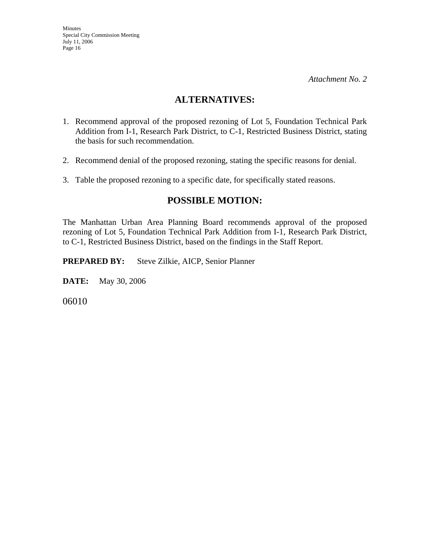## **ALTERNATIVES:**

- 1. Recommend approval of the proposed rezoning of Lot 5, Foundation Technical Park Addition from I-1, Research Park District, to C-1, Restricted Business District, stating the basis for such recommendation.
- 2. Recommend denial of the proposed rezoning, stating the specific reasons for denial.
- 3. Table the proposed rezoning to a specific date, for specifically stated reasons.

## **POSSIBLE MOTION:**

The Manhattan Urban Area Planning Board recommends approval of the proposed rezoning of Lot 5, Foundation Technical Park Addition from I-1, Research Park District, to C-1, Restricted Business District, based on the findings in the Staff Report.

**PREPARED BY:** Steve Zilkie, AICP, Senior Planner

**DATE:** May 30, 2006

06010